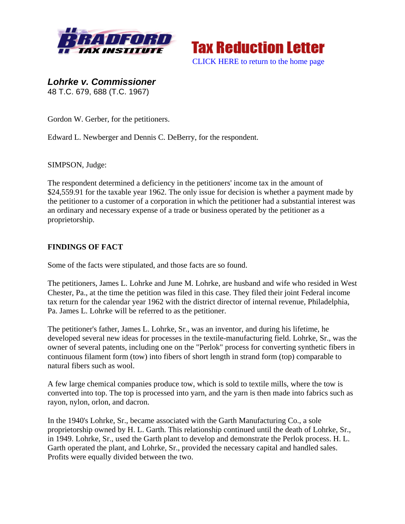



*Lohrke v. Commissioner*  48 T.C. 679, 688 (T.C. 1967)

Gordon W. Gerber, for the petitioners.

Edward L. Newberger and Dennis C. DeBerry, for the respondent.

SIMPSON, Judge:

The respondent determined a deficiency in the petitioners' income tax in the amount of \$24,559.91 for the taxable year 1962. The only issue for decision is whether a payment made by the petitioner to a customer of a corporation in which the petitioner had a substantial interest was an ordinary and necessary expense of a trade or business operated by the petitioner as a proprietorship.

## **FINDINGS OF FACT**

Some of the facts were stipulated, and those facts are so found.

The petitioners, James L. Lohrke and June M. Lohrke, are husband and wife who resided in West Chester, Pa., at the time the petition was filed in this case. They filed their joint Federal income tax return for the calendar year 1962 with the district director of internal revenue, Philadelphia, Pa. James L. Lohrke will be referred to as the petitioner.

The petitioner's father, James L. Lohrke, Sr., was an inventor, and during his lifetime, he developed several new ideas for processes in the textile-manufacturing field. Lohrke, Sr., was the owner of several patents, including one on the "Perlok" process for converting synthetic fibers in continuous filament form (tow) into fibers of short length in strand form (top) comparable to natural fibers such as wool.

A few large chemical companies produce tow, which is sold to textile mills, where the tow is converted into top. The top is processed into yarn, and the yarn is then made into fabrics such as rayon, nylon, orlon, and dacron.

In the 1940's Lohrke, Sr., became associated with the Garth Manufacturing Co., a sole proprietorship owned by H. L. Garth. This relationship continued until the death of Lohrke, Sr., in 1949. Lohrke, Sr., used the Garth plant to develop and demonstrate the Perlok process. H. L. Garth operated the plant, and Lohrke, Sr., provided the necessary capital and handled sales. Profits were equally divided between the two.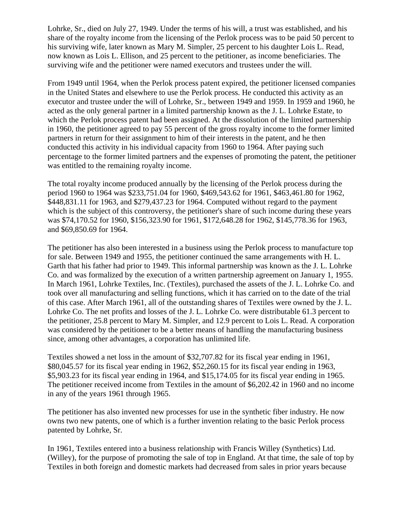Lohrke, Sr., died on July 27, 1949. Under the terms of his will, a trust was established, and his share of the royalty income from the licensing of the Perlok process was to be paid 50 percent to his surviving wife, later known as Mary M. Simpler, 25 percent to his daughter Lois L. Read, now known as Lois L. Ellison, and 25 percent to the petitioner, as income beneficiaries. The surviving wife and the petitioner were named executors and trustees under the will.

From 1949 until 1964, when the Perlok process patent expired, the petitioner licensed companies in the United States and elsewhere to use the Perlok process. He conducted this activity as an executor and trustee under the will of Lohrke, Sr., between 1949 and 1959. In 1959 and 1960, he acted as the only general partner in a limited partnership known as the J. L. Lohrke Estate, to which the Perlok process patent had been assigned. At the dissolution of the limited partnership in 1960, the petitioner agreed to pay 55 percent of the gross royalty income to the former limited partners in return for their assignment to him of their interests in the patent, and he then conducted this activity in his individual capacity from 1960 to 1964. After paying such percentage to the former limited partners and the expenses of promoting the patent, the petitioner was entitled to the remaining royalty income.

The total royalty income produced annually by the licensing of the Perlok process during the period 1960 to 1964 was \$233,751.04 for 1960, \$469,543.62 for 1961, \$463,461.80 for 1962, \$448,831.11 for 1963, and \$279,437.23 for 1964. Computed without regard to the payment which is the subject of this controversy, the petitioner's share of such income during these years was \$74,170.52 for 1960, \$156,323.90 for 1961, \$172,648.28 for 1962, \$145,778.36 for 1963, and \$69,850.69 for 1964.

The petitioner has also been interested in a business using the Perlok process to manufacture top for sale. Between 1949 and 1955, the petitioner continued the same arrangements with H. L. Garth that his father had prior to 1949. This informal partnership was known as the J. L. Lohrke Co. and was formalized by the execution of a written partnership agreement on January 1, 1955. In March 1961, Lohrke Textiles, Inc. (Textiles), purchased the assets of the J. L. Lohrke Co. and took over all manufacturing and selling functions, which it has carried on to the date of the trial of this case. After March 1961, all of the outstanding shares of Textiles were owned by the J. L. Lohrke Co. The net profits and losses of the J. L. Lohrke Co. were distributable 61.3 percent to the petitioner, 25.8 percent to Mary M. Simpler, and 12.9 percent to Lois L. Read. A corporation was considered by the petitioner to be a better means of handling the manufacturing business since, among other advantages, a corporation has unlimited life.

Textiles showed a net loss in the amount of \$32,707.82 for its fiscal year ending in 1961, \$80,045.57 for its fiscal year ending in 1962, \$52,260.15 for its fiscal year ending in 1963, \$5,903.23 for its fiscal year ending in 1964, and \$15,174.05 for its fiscal year ending in 1965. The petitioner received income from Textiles in the amount of \$6,202.42 in 1960 and no income in any of the years 1961 through 1965.

The petitioner has also invented new processes for use in the synthetic fiber industry. He now owns two new patents, one of which is a further invention relating to the basic Perlok process patented by Lohrke, Sr.

In 1961, Textiles entered into a business relationship with Francis Willey (Synthetics) Ltd. (Willey), for the purpose of promoting the sale of top in England. At that time, the sale of top by Textiles in both foreign and domestic markets had decreased from sales in prior years because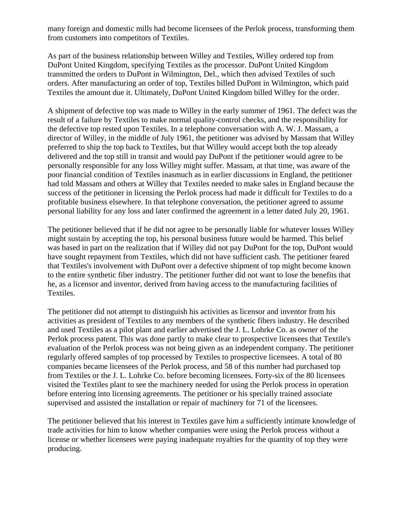many foreign and domestic mills had become licensees of the Perlok process, transforming them from customers into competitors of Textiles.

As part of the business relationship between Willey and Textiles, Willey ordered top from DuPont United Kingdom, specifying Textiles as the processor. DuPont United Kingdom transmitted the orders to DuPont in Wilmington, Del., which then advised Textiles of such orders. After manufacturing an order of top, Textiles billed DuPont in Wilmington, which paid Textiles the amount due it. Ultimately, DuPont United Kingdom billed Willey for the order.

A shipment of defective top was made to Willey in the early summer of 1961. The defect was the result of a failure by Textiles to make normal quality-control checks, and the responsibility for the defective top rested upon Textiles. In a telephone conversation with A. W. J. Massam, a director of Willey, in the middle of July 1961, the petitioner was advised by Massam that Willey preferred to ship the top back to Textiles, but that Willey would accept both the top already delivered and the top still in transit and would pay DuPont if the petitioner would agree to be personally responsible for any loss Willey might suffer. Massam, at that time, was aware of the poor financial condition of Textiles inasmuch as in earlier discussions in England, the petitioner had told Massam and others at Willey that Textiles needed to make sales in England because the success of the petitioner in licensing the Perlok process had made it difficult for Textiles to do a profitable business elsewhere. In that telephone conversation, the petitioner agreed to assume personal liability for any loss and later confirmed the agreement in a letter dated July 20, 1961.

The petitioner believed that if he did not agree to be personally liable for whatever losses Willey might sustain by accepting the top, his personal business future would be harmed. This belief was based in part on the realization that if Willey did not pay DuPont for the top, DuPont would have sought repayment from Textiles, which did not have sufficient cash. The petitioner feared that Textiles's involvement with DuPont over a defective shipment of top might become known to the entire synthetic fiber industry. The petitioner further did not want to lose the benefits that he, as a licensor and inventor, derived from having access to the manufacturing facilities of Textiles.

The petitioner did not attempt to distinguish his activities as licensor and inventor from his activities as president of Textiles to any members of the synthetic fibers industry. He described and used Textiles as a pilot plant and earlier advertised the J. L. Lohrke Co. as owner of the Perlok process patent. This was done partly to make clear to prospective licensees that Textile's evaluation of the Perlok process was not being given as an independent company. The petitioner regularly offered samples of top processed by Textiles to prospective licensees. A total of 80 companies became licensees of the Perlok process, and 58 of this number had purchased top from Textiles or the J. L. Lohrke Co. before becoming licensees. Forty-six of the 80 licensees visited the Textiles plant to see the machinery needed for using the Perlok process in operation before entering into licensing agreements. The petitioner or his specially trained associate supervised and assisted the installation or repair of machinery for 71 of the licensees.

The petitioner believed that his interest in Textiles gave him a sufficiently intimate knowledge of trade activities for him to know whether companies were using the Perlok process without a license or whether licensees were paying inadequate royalties for the quantity of top they were producing.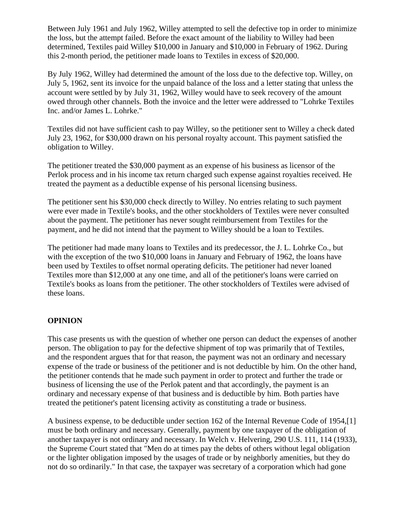Between July 1961 and July 1962, Willey attempted to sell the defective top in order to minimize the loss, but the attempt failed. Before the exact amount of the liability to Willey had been determined, Textiles paid Willey \$10,000 in January and \$10,000 in February of 1962. During this 2-month period, the petitioner made loans to Textiles in excess of \$20,000.

By July 1962, Willey had determined the amount of the loss due to the defective top. Willey, on July 5, 1962, sent its invoice for the unpaid balance of the loss and a letter stating that unless the account were settled by by July 31, 1962, Willey would have to seek recovery of the amount owed through other channels. Both the invoice and the letter were addressed to "Lohrke Textiles Inc. and/or James L. Lohrke."

Textiles did not have sufficient cash to pay Willey, so the petitioner sent to Willey a check dated July 23, 1962, for \$30,000 drawn on his personal royalty account. This payment satisfied the obligation to Willey.

The petitioner treated the \$30,000 payment as an expense of his business as licensor of the Perlok process and in his income tax return charged such expense against royalties received. He treated the payment as a deductible expense of his personal licensing business.

The petitioner sent his \$30,000 check directly to Willey. No entries relating to such payment were ever made in Textile's books, and the other stockholders of Textiles were never consulted about the payment. The petitioner has never sought reimbursement from Textiles for the payment, and he did not intend that the payment to Willey should be a loan to Textiles.

The petitioner had made many loans to Textiles and its predecessor, the J. L. Lohrke Co., but with the exception of the two \$10,000 loans in January and February of 1962, the loans have been used by Textiles to offset normal operating deficits. The petitioner had never loaned Textiles more than \$12,000 at any one time, and all of the petitioner's loans were carried on Textile's books as loans from the petitioner. The other stockholders of Textiles were advised of these loans.

## **OPINION**

This case presents us with the question of whether one person can deduct the expenses of another person. The obligation to pay for the defective shipment of top was primarily that of Textiles, and the respondent argues that for that reason, the payment was not an ordinary and necessary expense of the trade or business of the petitioner and is not deductible by him. On the other hand, the petitioner contends that he made such payment in order to protect and further the trade or business of licensing the use of the Perlok patent and that accordingly, the payment is an ordinary and necessary expense of that business and is deductible by him. Both parties have treated the petitioner's patent licensing activity as constituting a trade or business.

A business expense, to be deductible under section 162 of the Internal Revenue Code of 1954,[1] must be both ordinary and necessary. Generally, payment by one taxpayer of the obligation of another taxpayer is not ordinary and necessary. In Welch v. Helvering, 290 U.S. 111, 114 (1933), the Supreme Court stated that "Men do at times pay the debts of others without legal obligation or the lighter obligation imposed by the usages of trade or by neighborly amenities, but they do not do so ordinarily." In that case, the taxpayer was secretary of a corporation which had gone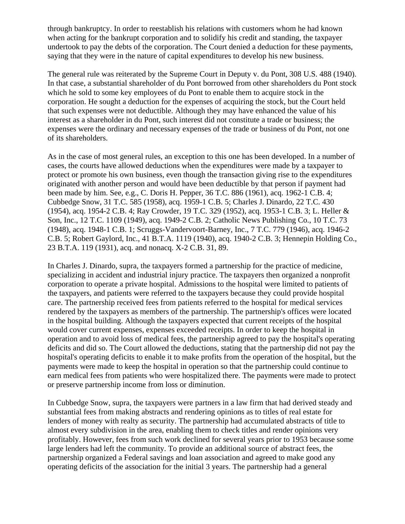through bankruptcy. In order to reestablish his relations with customers whom he had known when acting for the bankrupt corporation and to solidify his credit and standing, the taxpayer undertook to pay the debts of the corporation. The Court denied a deduction for these payments, saying that they were in the nature of capital expenditures to develop his new business.

The general rule was reiterated by the Supreme Court in Deputy v. du Pont, 308 U.S. 488 (1940). In that case, a substantial shareholder of du Pont borrowed from other shareholders du Pont stock which he sold to some key employees of du Pont to enable them to acquire stock in the corporation. He sought a deduction for the expenses of acquiring the stock, but the Court held that such expenses were not deductible. Although they may have enhanced the value of his interest as a shareholder in du Pont, such interest did not constitute a trade or business; the expenses were the ordinary and necessary expenses of the trade or business of du Pont, not one of its shareholders.

As in the case of most general rules, an exception to this one has been developed. In a number of cases, the courts have allowed deductions when the expenditures were made by a taxpayer to protect or promote his own business, even though the transaction giving rise to the expenditures originated with another person and would have been deductible by that person if payment had been made by him. See, e.g., C. Doris H. Pepper, 36 T.C. 886 (1961), acq. 1962-1 C.B. 4; Cubbedge Snow, 31 T.C. 585 (1958), acq. 1959-1 C.B. 5; Charles J. Dinardo, 22 T.C. 430 (1954), acq. 1954-2 C.B. 4; Ray Crowder, 19 T.C. 329 (1952), acq. 1953-1 C.B. 3; L. Heller & Son, Inc., 12 T.C. 1109 (1949), acq. 1949-2 C.B. 2; Catholic News Publishing Co., 10 T.C. 73 (1948), acq. 1948-1 C.B. 1; Scruggs-Vandervoort-Barney, Inc., 7 T.C. 779 (1946), acq. 1946-2 C.B. 5; Robert Gaylord, Inc., 41 B.T.A. 1119 (1940), acq. 1940-2 C.B. 3; Hennepin Holding Co., 23 B.T.A. 119 (1931), acq. and nonacq. X-2 C.B. 31, 89.

In Charles J. Dinardo, supra, the taxpayers formed a partnership for the practice of medicine, specializing in accident and industrial injury practice. The taxpayers then organized a nonprofit corporation to operate a private hospital. Admissions to the hospital were limited to patients of the taxpayers, and patients were referred to the taxpayers because they could provide hospital care. The partnership received fees from patients referred to the hospital for medical services rendered by the taxpayers as members of the partnership. The partnership's offices were located in the hospital building. Although the taxpayers expected that current receipts of the hospital would cover current expenses, expenses exceeded receipts. In order to keep the hospital in operation and to avoid loss of medical fees, the partnership agreed to pay the hospital's operating deficits and did so. The Court allowed the deductions, stating that the partnership did not pay the hospital's operating deficits to enable it to make profits from the operation of the hospital, but the payments were made to keep the hospital in operation so that the partnership could continue to earn medical fees from patients who were hospitalized there. The payments were made to protect or preserve partnership income from loss or diminution.

In Cubbedge Snow, supra, the taxpayers were partners in a law firm that had derived steady and substantial fees from making abstracts and rendering opinions as to titles of real estate for lenders of money with realty as security. The partnership had accumulated abstracts of title to almost every subdivision in the area, enabling them to check titles and render opinions very profitably. However, fees from such work declined for several years prior to 1953 because some large lenders had left the community. To provide an additional source of abstract fees, the partnership organized a Federal savings and loan association and agreed to make good any operating deficits of the association for the initial 3 years. The partnership had a general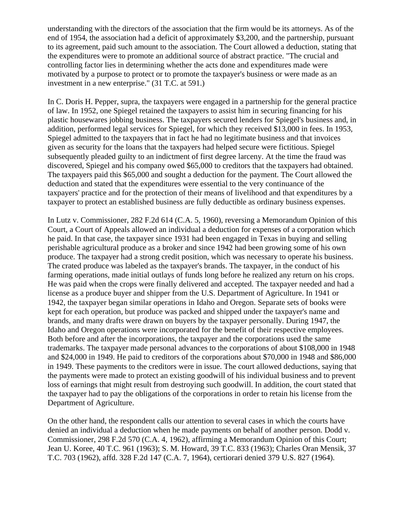understanding with the directors of the association that the firm would be its attorneys. As of the end of 1954, the association had a deficit of approximately \$3,200, and the partnership, pursuant to its agreement, paid such amount to the association. The Court allowed a deduction, stating that the expenditures were to promote an additional source of abstract practice. "The crucial and controlling factor lies in determining whether the acts done and expenditures made were motivated by a purpose to protect or to promote the taxpayer's business or were made as an investment in a new enterprise." (31 T.C. at 591.)

In C. Doris H. Pepper, supra, the taxpayers were engaged in a partnership for the general practice of law. In 1952, one Spiegel retained the taxpayers to assist him in securing financing for his plastic housewares jobbing business. The taxpayers secured lenders for Spiegel's business and, in addition, performed legal services for Spiegel, for which they received \$13,000 in fees. In 1953, Spiegel admitted to the taxpayers that in fact he had no legitimate business and that invoices given as security for the loans that the taxpayers had helped secure were fictitious. Spiegel subsequently pleaded guilty to an indictment of first degree larceny. At the time the fraud was discovered, Spiegel and his company owed \$65,000 to creditors that the taxpayers had obtained. The taxpayers paid this \$65,000 and sought a deduction for the payment. The Court allowed the deduction and stated that the expenditures were essential to the very continuance of the taxpayers' practice and for the protection of their means of livelihood and that expenditures by a taxpayer to protect an established business are fully deductible as ordinary business expenses.

In Lutz v. Commissioner, 282 F.2d 614 (C.A. 5, 1960), reversing a Memorandum Opinion of this Court, a Court of Appeals allowed an individual a deduction for expenses of a corporation which he paid. In that case, the taxpayer since 1931 had been engaged in Texas in buying and selling perishable agricultural produce as a broker and since 1942 had been growing some of his own produce. The taxpayer had a strong credit position, which was necessary to operate his business. The crated produce was labeled as the taxpayer's brands. The taxpayer, in the conduct of his farming operations, made initial outlays of funds long before he realized any return on his crops. He was paid when the crops were finally delivered and accepted. The taxpayer needed and had a license as a produce buyer and shipper from the U.S. Department of Agriculture. In 1941 or 1942, the taxpayer began similar operations in Idaho and Oregon. Separate sets of books were kept for each operation, but produce was packed and shipped under the taxpayer's name and brands, and many drafts were drawn on buyers by the taxpayer personally. During 1947, the Idaho and Oregon operations were incorporated for the benefit of their respective employees. Both before and after the incorporations, the taxpayer and the corporations used the same trademarks. The taxpayer made personal advances to the corporations of about \$108,000 in 1948 and \$24,000 in 1949. He paid to creditors of the corporations about \$70,000 in 1948 and \$86,000 in 1949. These payments to the creditors were in issue. The court allowed deductions, saying that the payments were made to protect an existing goodwill of his individual business and to prevent loss of earnings that might result from destroying such goodwill. In addition, the court stated that the taxpayer had to pay the obligations of the corporations in order to retain his license from the Department of Agriculture.

On the other hand, the respondent calls our attention to several cases in which the courts have denied an individual a deduction when he made payments on behalf of another person. Dodd v. Commissioner, 298 F.2d 570 (C.A. 4, 1962), affirming a Memorandum Opinion of this Court; Jean U. Koree, 40 T.C. 961 (1963); S. M. Howard, 39 T.C. 833 (1963); Charles Oran Mensik, 37 T.C. 703 (1962), affd. 328 F.2d 147 (C.A. 7, 1964), certiorari denied 379 U.S. 827 (1964).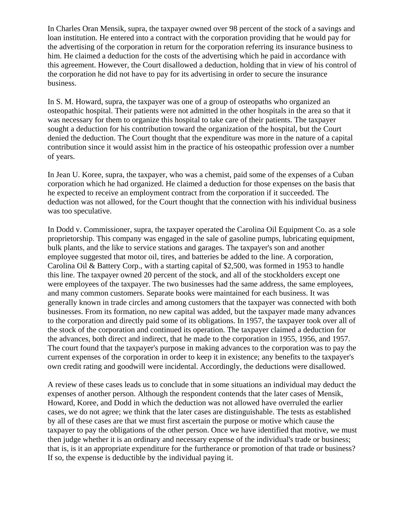In Charles Oran Mensik, supra, the taxpayer owned over 98 percent of the stock of a savings and loan institution. He entered into a contract with the corporation providing that he would pay for the advertising of the corporation in return for the corporation referring its insurance business to him. He claimed a deduction for the costs of the advertising which he paid in accordance with this agreement. However, the Court disallowed a deduction, holding that in view of his control of the corporation he did not have to pay for its advertising in order to secure the insurance business.

In S. M. Howard, supra, the taxpayer was one of a group of osteopaths who organized an osteopathic hospital. Their patients were not admitted in the other hospitals in the area so that it was necessary for them to organize this hospital to take care of their patients. The taxpayer sought a deduction for his contribution toward the organization of the hospital, but the Court denied the deduction. The Court thought that the expenditure was more in the nature of a capital contribution since it would assist him in the practice of his osteopathic profession over a number of years.

In Jean U. Koree, supra, the taxpayer, who was a chemist, paid some of the expenses of a Cuban corporation which he had organized. He claimed a deduction for those expenses on the basis that he expected to receive an employment contract from the corporation if it succeeded. The deduction was not allowed, for the Court thought that the connection with his individual business was too speculative.

In Dodd v. Commissioner, supra, the taxpayer operated the Carolina Oil Equipment Co. as a sole proprietorship. This company was engaged in the sale of gasoline pumps, lubricating equipment, bulk plants, and the like to service stations and garages. The taxpayer's son and another employee suggested that motor oil, tires, and batteries be added to the line. A corporation, Carolina Oil & Battery Corp., with a starting capital of \$2,500, was formed in 1953 to handle this line. The taxpayer owned 20 percent of the stock, and all of the stockholders except one were employees of the taxpayer. The two businesses had the same address, the same employees, and many common customers. Separate books were maintained for each business. It was generally known in trade circles and among customers that the taxpayer was connected with both businesses. From its formation, no new capital was added, but the taxpayer made many advances to the corporation and directly paid some of its obligations. In 1957, the taxpayer took over all of the stock of the corporation and continued its operation. The taxpayer claimed a deduction for the advances, both direct and indirect, that he made to the corporation in 1955, 1956, and 1957. The court found that the taxpayer's purpose in making advances to the corporation was to pay the current expenses of the corporation in order to keep it in existence; any benefits to the taxpayer's own credit rating and goodwill were incidental. Accordingly, the deductions were disallowed.

A review of these cases leads us to conclude that in some situations an individual may deduct the expenses of another person. Although the respondent contends that the later cases of Mensik, Howard, Koree, and Dodd in which the deduction was not allowed have overruled the earlier cases, we do not agree; we think that the later cases are distinguishable. The tests as established by all of these cases are that we must first ascertain the purpose or motive which cause the taxpayer to pay the obligations of the other person. Once we have identified that motive, we must then judge whether it is an ordinary and necessary expense of the individual's trade or business; that is, is it an appropriate expenditure for the furtherance or promotion of that trade or business? If so, the expense is deductible by the individual paying it.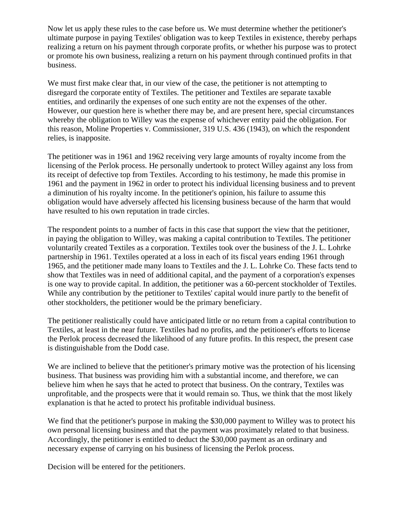Now let us apply these rules to the case before us. We must determine whether the petitioner's ultimate purpose in paying Textiles' obligation was to keep Textiles in existence, thereby perhaps realizing a return on his payment through corporate profits, or whether his purpose was to protect or promote his own business, realizing a return on his payment through continued profits in that business.

We must first make clear that, in our view of the case, the petitioner is not attempting to disregard the corporate entity of Textiles. The petitioner and Textiles are separate taxable entities, and ordinarily the expenses of one such entity are not the expenses of the other. However, our question here is whether there may be, and are present here, special circumstances whereby the obligation to Willey was the expense of whichever entity paid the obligation. For this reason, Moline Properties v. Commissioner, 319 U.S. 436 (1943), on which the respondent relies, is inapposite.

The petitioner was in 1961 and 1962 receiving very large amounts of royalty income from the licensing of the Perlok process. He personally undertook to protect Willey against any loss from its receipt of defective top from Textiles. According to his testimony, he made this promise in 1961 and the payment in 1962 in order to protect his individual licensing business and to prevent a diminution of his royalty income. In the petitioner's opinion, his failure to assume this obligation would have adversely affected his licensing business because of the harm that would have resulted to his own reputation in trade circles.

The respondent points to a number of facts in this case that support the view that the petitioner, in paying the obligation to Willey, was making a capital contribution to Textiles. The petitioner voluntarily created Textiles as a corporation. Textiles took over the business of the J. L. Lohrke partnership in 1961. Textiles operated at a loss in each of its fiscal years ending 1961 through 1965, and the petitioner made many loans to Textiles and the J. L. Lohrke Co. These facts tend to show that Textiles was in need of additional capital, and the payment of a corporation's expenses is one way to provide capital. In addition, the petitioner was a 60-percent stockholder of Textiles. While any contribution by the petitioner to Textiles' capital would inure partly to the benefit of other stockholders, the petitioner would be the primary beneficiary.

The petitioner realistically could have anticipated little or no return from a capital contribution to Textiles, at least in the near future. Textiles had no profits, and the petitioner's efforts to license the Perlok process decreased the likelihood of any future profits. In this respect, the present case is distinguishable from the Dodd case.

We are inclined to believe that the petitioner's primary motive was the protection of his licensing business. That business was providing him with a substantial income, and therefore, we can believe him when he says that he acted to protect that business. On the contrary, Textiles was unprofitable, and the prospects were that it would remain so. Thus, we think that the most likely explanation is that he acted to protect his profitable individual business.

We find that the petitioner's purpose in making the \$30,000 payment to Willey was to protect his own personal licensing business and that the payment was proximately related to that business. Accordingly, the petitioner is entitled to deduct the \$30,000 payment as an ordinary and necessary expense of carrying on his business of licensing the Perlok process.

Decision will be entered for the petitioners.